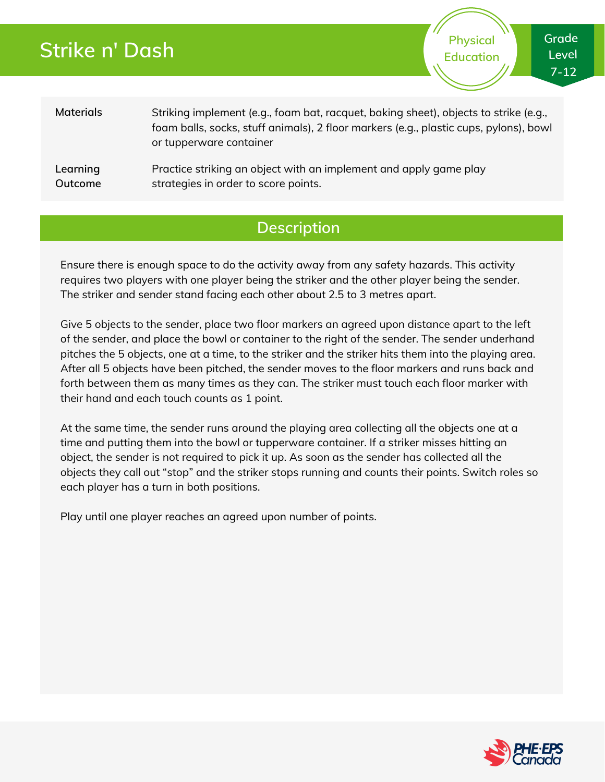## **Strike n' Dash**

**Physical Education** **Grade Level 7-12**

**Materials Learning** Striking implement (e.g., foam bat, racquet, baking sheet), objects to strike (e.g., foam balls, socks, stuff animals), 2 floor markers (e.g., plastic cups, pylons), bowl or tupperware container Practice striking an object with an implement and apply game play

**Outcome** strategies in order to score points.

### **Description**

Ensure there is enough space to do the activity away from any safety hazards. This activity requires two players with one player being the striker and the other player being the sender. The striker and sender stand facing each other about 2.5 to 3 metres apart.

Give 5 objects to the sender, place two floor markers an agreed upon distance apart to the left of the sender, and place the bowl or container to the right of the sender. The sender underhand pitches the 5 objects, one at a time, to the striker and the striker hits them into the playing area. After all 5 objects have been pitched, the sender moves to the floor markers and runs back and forth between them as many times as they can. The striker must touch each floor marker with their hand and each touch counts as 1 point.

At the same time, the sender runs around the playing area collecting all the objects one at a time and putting them into the bowl or tupperware container. If a striker misses hitting an object, the sender is not required to pick it up. As soon as the sender has collected all the objects they call out "stop" and the striker stops running and counts their points. Switch roles so each player has a turn in both positions.

Play until one player reaches an agreed upon number of points.